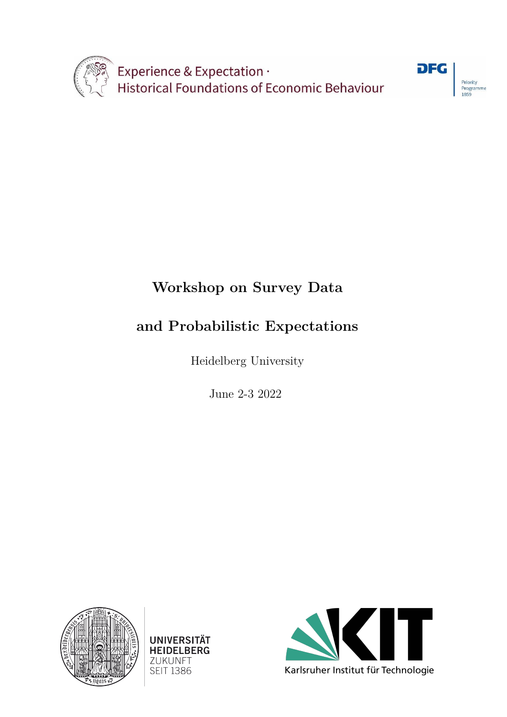



## **Workshop on Survey Data**

## **and Probabilistic Expectations**

Heidelberg University

June 2-3 2022





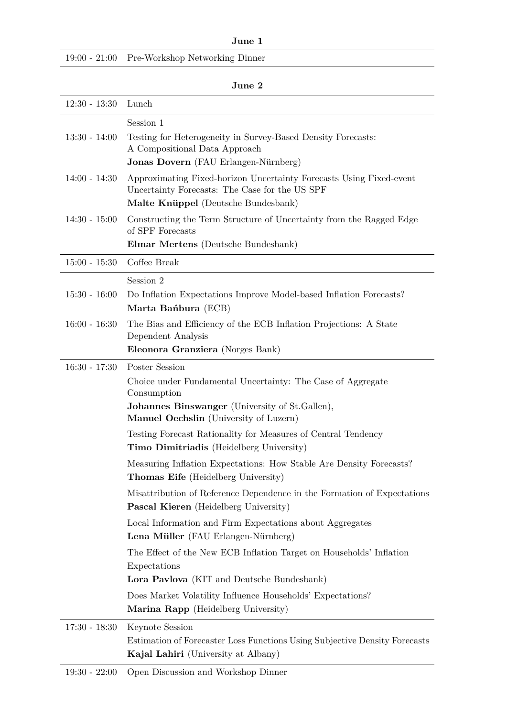**June 1**

|  |  | 19:00 - 21:00 Pre-Workshop Networking Dinner |
|--|--|----------------------------------------------|
|--|--|----------------------------------------------|

| ш |
|---|
|---|

| $12:30 - 13:30$ | Lunch                                                                                                                   |
|-----------------|-------------------------------------------------------------------------------------------------------------------------|
|                 | Session 1                                                                                                               |
| $13:30 - 14:00$ | Testing for Heterogeneity in Survey-Based Density Forecasts:<br>A Compositional Data Approach                           |
|                 | Jonas Dovern (FAU Erlangen-Nürnberg)                                                                                    |
| $14:00 - 14:30$ | Approximating Fixed-horizon Uncertainty Forecasts Using Fixed-event                                                     |
|                 | Uncertainty Forecasts: The Case for the US SPF<br>Malte Knüppel (Deutsche Bundesbank)                                   |
| $14:30 - 15:00$ | Constructing the Term Structure of Uncertainty from the Ragged Edge<br>of SPF Forecasts                                 |
|                 | Elmar Mertens (Deutsche Bundesbank)                                                                                     |
| $15:00 - 15:30$ | Coffee Break                                                                                                            |
|                 | Session 2                                                                                                               |
| $15:30 - 16:00$ | Do Inflation Expectations Improve Model-based Inflation Forecasts?<br>Marta Banbura (ECB)                               |
| $16:00 - 16:30$ | The Bias and Efficiency of the ECB Inflation Projections: A State                                                       |
|                 | Dependent Analysis<br>Eleonora Granziera (Norges Bank)                                                                  |
| $16:30 - 17:30$ | Poster Session                                                                                                          |
|                 | Choice under Fundamental Uncertainty: The Case of Aggregate<br>Consumption                                              |
|                 | <b>Johannes Binswanger</b> (University of St.Gallen),<br>Manuel Oechslin (University of Luzern)                         |
|                 | Testing Forecast Rationality for Measures of Central Tendency<br>Timo Dimitriadis (Heidelberg University)               |
|                 | Measuring Inflation Expectations: How Stable Are Density Forecasts?<br>Thomas Eife (Heidelberg University)              |
|                 | Misattribution of Reference Dependence in the Formation of Expectations<br><b>Pascal Kieren</b> (Heidelberg University) |
|                 | Local Information and Firm Expectations about Aggregates<br>Lena Müller (FAU Erlangen-Nürnberg)                         |
|                 | The Effect of the New ECB Inflation Target on Households' Inflation                                                     |
|                 | Expectations                                                                                                            |
|                 | Lora Pavlova (KIT and Deutsche Bundesbank)                                                                              |
|                 | Does Market Volatility Influence Households' Expectations?                                                              |
|                 | Marina Rapp (Heidelberg University)                                                                                     |
| $17:30 - 18:30$ | Keynote Session                                                                                                         |
|                 | Estimation of Forecaster Loss Functions Using Subjective Density Forecasts<br>Kajal Lahiri (University at Albany)       |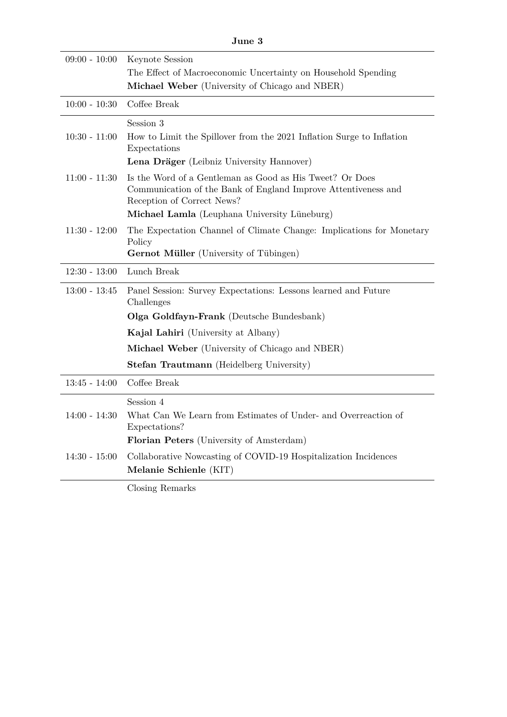| June 3          |                                                                                                                                                          |
|-----------------|----------------------------------------------------------------------------------------------------------------------------------------------------------|
| $09:00 - 10:00$ | Keynote Session                                                                                                                                          |
|                 | The Effect of Macroeconomic Uncertainty on Household Spending                                                                                            |
|                 | Michael Weber (University of Chicago and NBER)                                                                                                           |
| $10:00 - 10:30$ | Coffee Break                                                                                                                                             |
|                 | Session 3                                                                                                                                                |
| $10:30 - 11:00$ | How to Limit the Spillover from the 2021 Inflation Surge to Inflation<br>Expectations                                                                    |
|                 | Lena Dräger (Leibniz University Hannover)                                                                                                                |
| $11:00 - 11:30$ | Is the Word of a Gentleman as Good as His Tweet? Or Does<br>Communication of the Bank of England Improve Attentiveness and<br>Reception of Correct News? |
|                 | Michael Lamla (Leuphana University Lüneburg)                                                                                                             |
| $11:30 - 12:00$ | The Expectation Channel of Climate Change: Implications for Monetary<br>Policy                                                                           |
|                 | <b>Gernot Müller</b> (University of Tübingen)                                                                                                            |
| $12:30 - 13:00$ | Lunch Break                                                                                                                                              |
| $13:00 - 13:45$ | Panel Session: Survey Expectations: Lessons learned and Future<br>Challenges                                                                             |
|                 | Olga Goldfayn-Frank (Deutsche Bundesbank)                                                                                                                |
|                 | <b>Kajal Lahiri</b> (University at Albany)                                                                                                               |
|                 | <b>Michael Weber</b> (University of Chicago and NBER)                                                                                                    |
|                 | <b>Stefan Trautmann</b> (Heidelberg University)                                                                                                          |
| $13:45 - 14:00$ | Coffee Break                                                                                                                                             |
|                 | Session 4                                                                                                                                                |
| 14:00 - 14:30   | What Can We Learn from Estimates of Under- and Overreaction of                                                                                           |
|                 | Expectations?<br>Florian Peters (University of Amsterdam)                                                                                                |
|                 |                                                                                                                                                          |
| $14:30 - 15:00$ | Collaborative Nowcasting of COVID-19 Hospitalization Incidences<br>Melanie Schienle (KIT)                                                                |
|                 | Closing Remarks                                                                                                                                          |